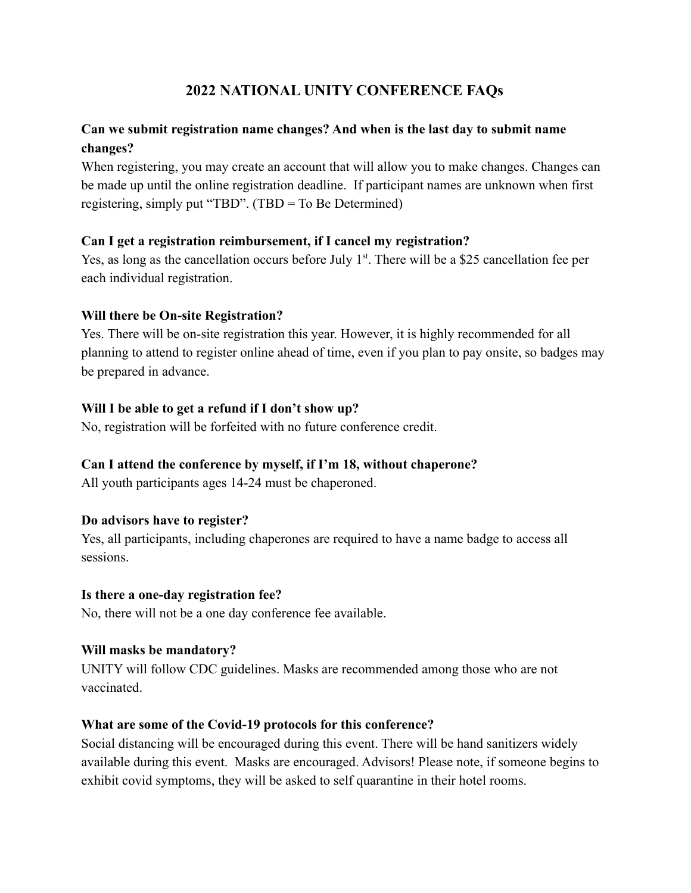# **2022 NATIONAL UNITY CONFERENCE FAQs**

# **Can we submit registration name changes? And when is the last day to submit name changes?**

When registering, you may create an account that will allow you to make changes. Changes can be made up until the online registration deadline. If participant names are unknown when first registering, simply put "TBD". (TBD = To Be Determined)

### **Can I get a registration reimbursement, if I cancel my registration?**

Yes, as long as the cancellation occurs before July  $1<sup>st</sup>$ . There will be a \$25 cancellation fee per each individual registration.

### **Will there be On-site Registration?**

Yes. There will be on-site registration this year. However, it is highly recommended for all planning to attend to register online ahead of time, even if you plan to pay onsite, so badges may be prepared in advance.

### **Will I be able to get a refund if I don't show up?**

No, registration will be forfeited with no future conference credit.

# **Can I attend the conference by myself, if I'm 18, without chaperone?**

All youth participants ages 14-24 must be chaperoned.

# **Do advisors have to register?**

Yes, all participants, including chaperones are required to have a name badge to access all sessions.

#### **Is there a one-day registration fee?**

No, there will not be a one day conference fee available.

#### **Will masks be mandatory?**

UNITY will follow CDC guidelines. Masks are recommended among those who are not vaccinated.

#### **What are some of the Covid-19 protocols for this conference?**

Social distancing will be encouraged during this event. There will be hand sanitizers widely available during this event. Masks are encouraged. Advisors! Please note, if someone begins to exhibit covid symptoms, they will be asked to self quarantine in their hotel rooms.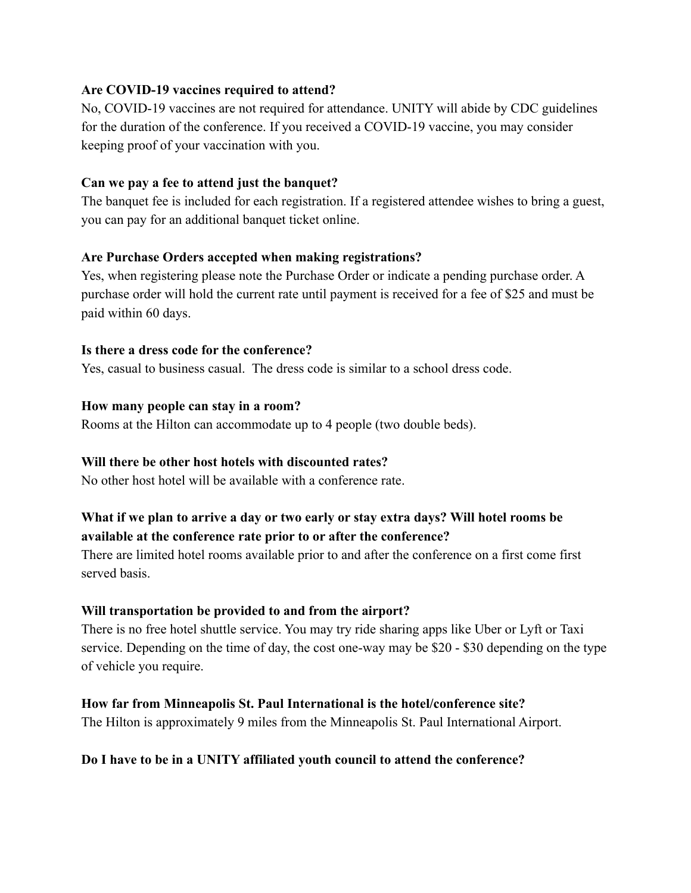# **Are COVID-19 vaccines required to attend?**

No, COVID-19 vaccines are not required for attendance. UNITY will abide by CDC guidelines for the duration of the conference. If you received a COVID-19 vaccine, you may consider keeping proof of your vaccination with you.

### **Can we pay a fee to attend just the banquet?**

The banquet fee is included for each registration. If a registered attendee wishes to bring a guest, you can pay for an additional banquet ticket online.

### **Are Purchase Orders accepted when making registrations?**

Yes, when registering please note the Purchase Order or indicate a pending purchase order. A purchase order will hold the current rate until payment is received for a fee of \$25 and must be paid within 60 days.

#### **Is there a dress code for the conference?**

Yes, casual to business casual. The dress code is similar to a school dress code.

#### **How many people can stay in a room?**

Rooms at the Hilton can accommodate up to 4 people (two double beds).

# **Will there be other host hotels with discounted rates?**

No other host hotel will be available with a conference rate.

# **What if we plan to arrive a day or two early or stay extra days? Will hotel rooms be available at the conference rate prior to or after the conference?**

There are limited hotel rooms available prior to and after the conference on a first come first served basis.

#### **Will transportation be provided to and from the airport?**

There is no free hotel shuttle service. You may try ride sharing apps like Uber or Lyft or Taxi service. Depending on the time of day, the cost one-way may be \$20 - \$30 depending on the type of vehicle you require.

#### **How far from Minneapolis St. Paul International is the hotel/conference site?**

The Hilton is approximately 9 miles from the Minneapolis St. Paul International Airport.

# **Do I have to be in a UNITY affiliated youth council to attend the conference?**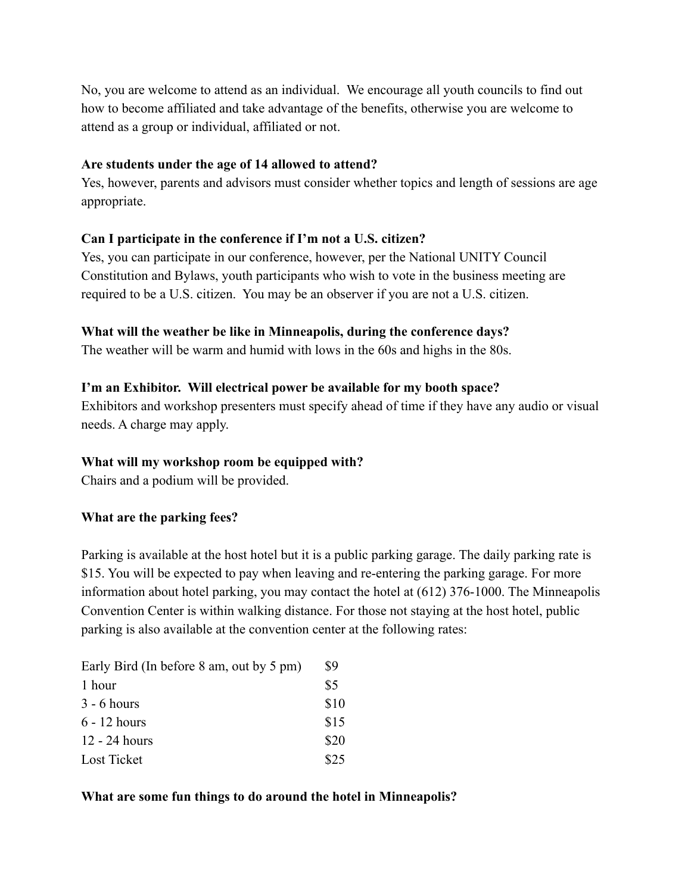No, you are welcome to attend as an individual. We encourage all youth councils to find out how to become affiliated and take advantage of the benefits, otherwise you are welcome to attend as a group or individual, affiliated or not.

### **Are students under the age of 14 allowed to attend?**

Yes, however, parents and advisors must consider whether topics and length of sessions are age appropriate.

# **Can I participate in the conference if I'm not a U.S. citizen?**

Yes, you can participate in our conference, however, per the National UNITY Council Constitution and Bylaws, youth participants who wish to vote in the business meeting are required to be a U.S. citizen. You may be an observer if you are not a U.S. citizen.

### **What will the weather be like in Minneapolis, during the conference days?**

The weather will be warm and humid with lows in the 60s and highs in the 80s.

# **I'm an Exhibitor. Will electrical power be available for my booth space?**

Exhibitors and workshop presenters must specify ahead of time if they have any audio or visual needs. A charge may apply.

# **What will my workshop room be equipped with?**

Chairs and a podium will be provided.

#### **What are the parking fees?**

Parking is available at the host hotel but it is a public parking garage. The daily parking rate is \$15. You will be expected to pay when leaving and re-entering the parking garage. For more information about hotel parking, you may contact the hotel at (612) 376-1000. The Minneapolis Convention Center is within walking distance. For those not staying at the host hotel, public parking is also available at the convention center at the following rates:

| Early Bird (In before 8 am, out by 5 pm) | \$9  |
|------------------------------------------|------|
| 1 hour                                   | \$5  |
| $3 - 6$ hours                            | \$10 |
| $6 - 12$ hours                           | \$15 |
| $12 - 24$ hours                          | \$20 |
| <b>Lost Ticket</b>                       | \$25 |

#### **What are some fun things to do around the hotel in Minneapolis?**